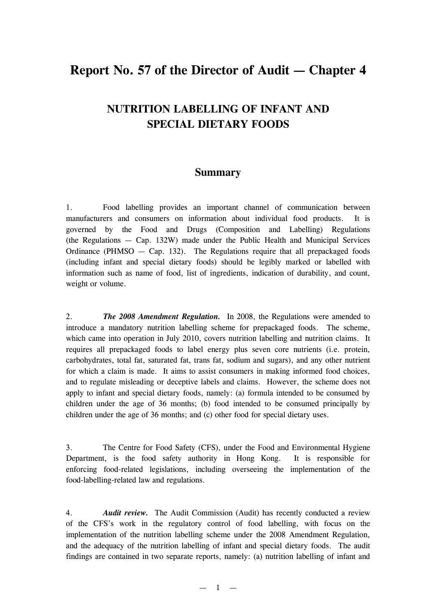# **Report No. 57 of the Director of Audit — Chapter 4**

## **NUTRITION LABELLING OF INFANT AND SPECIAL DIETARY FOODS**

### **Summary**

1. Food labelling provides an important channel of communication between manufacturers and consumers on information about individual food products. It is governed by the Food and Drugs (Composition and Labelling) Regulations (the Regulations — Cap. 132W) made under the Public Health and Municipal Services Ordinance (PHMSO — Cap. 132). The Regulations require that all prepackaged foods (including infant and special dietary foods) should be legibly marked or labelled with information such as name of food, list of ingredients, indication of durability, and count, weight or volume.

2. *The 2008 Amendment Regulation.* In 2008, the Regulations were amended to introduce a mandatory nutrition labelling scheme for prepackaged foods. The scheme, which came into operation in July 2010, covers nutrition labelling and nutrition claims. It requires all prepackaged foods to label energy plus seven core nutrients (i.e. protein, carbohydrates, total fat, saturated fat, trans fat, sodium and sugars), and any other nutrient for which a claim is made. It aims to assist consumers in making informed food choices, and to regulate misleading or deceptive labels and claims. However, the scheme does not apply to infant and special dietary foods, namely: (a) formula intended to be consumed by children under the age of 36 months; (b) food intended to be consumed principally by children under the age of 36 months; and (c) other food for special dietary uses.

3. The Centre for Food Safety (CFS), under the Food and Environmental Hygiene Department, is the food safety authority in Hong Kong. It is responsible for enforcing food-related legislations, including overseeing the implementation of the food-labelling-related law and regulations.

4. *Audit review.* The Audit Commission (Audit) has recently conducted a review of the CFS's work in the regulatory control of food labelling, with focus on the implementation of the nutrition labelling scheme under the 2008 Amendment Regulation, and the adequacy of the nutrition labelling of infant and special dietary foods. The audit findings are contained in two separate reports, namely: (a) nutrition labelling of infant and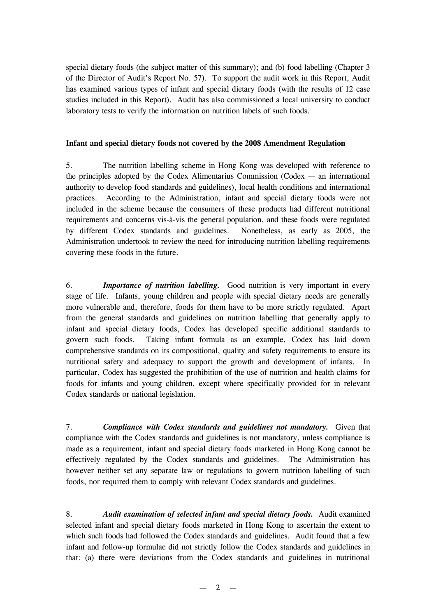special dietary foods (the subject matter of this summary); and (b) food labelling (Chapter 3 of the Director of Audit's Report No. 57). To support the audit work in this Report, Audit has examined various types of infant and special dietary foods (with the results of 12 case studies included in this Report). Audit has also commissioned a local university to conduct laboratory tests to verify the information on nutrition labels of such foods.

#### **Infant and special dietary foods not covered by the 2008 Amendment Regulation**

5. The nutrition labelling scheme in Hong Kong was developed with reference to the principles adopted by the Codex Alimentarius Commission (Codex — an international authority to develop food standards and guidelines), local health conditions and international practices. According to the Administration, infant and special dietary foods were not included in the scheme because the consumers of these products had different nutritional requirements and concerns vis-à-vis the general population, and these foods were regulated by different Codex standards and guidelines. Nonetheless, as early as 2005, the Administration undertook to review the need for introducing nutrition labelling requirements covering these foods in the future.

6. *Importance of nutrition labelling.* Good nutrition is very important in every stage of life. Infants, young children and people with special dietary needs are generally more vulnerable and, therefore, foods for them have to be more strictly regulated. Apart from the general standards and guidelines on nutrition labelling that generally apply to infant and special dietary foods, Codex has developed specific additional standards to govern such foods. Taking infant formula as an example, Codex has laid down comprehensive standards on its compositional, quality and safety requirements to ensure its nutritional safety and adequacy to support the growth and development of infants. In particular, Codex has suggested the prohibition of the use of nutrition and health claims for foods for infants and young children, except where specifically provided for in relevant Codex standards or national legislation.

7. *Compliance with Codex standards and guidelines not mandatory.* Given that compliance with the Codex standards and guidelines is not mandatory, unless compliance is made as a requirement, infant and special dietary foods marketed in Hong Kong cannot be effectively regulated by the Codex standards and guidelines. The Administration has however neither set any separate law or regulations to govern nutrition labelling of such foods, nor required them to comply with relevant Codex standards and guidelines.

8. *Audit examination of selected infant and special dietary foods.* Audit examined selected infant and special dietary foods marketed in Hong Kong to ascertain the extent to which such foods had followed the Codex standards and guidelines. Audit found that a few infant and follow-up formulae did not strictly follow the Codex standards and guidelines in that: (a) there were deviations from the Codex standards and guidelines in nutritional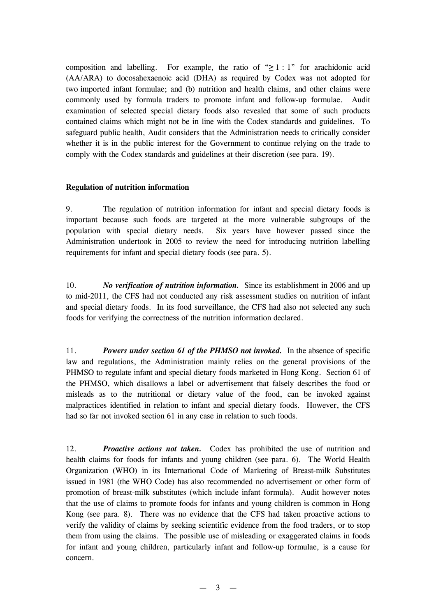composition and labelling. For example, the ratio of " $\geq 1:1$ " for arachidonic acid (AA/ARA) to docosahexaenoic acid (DHA) as required by Codex was not adopted for two imported infant formulae; and (b) nutrition and health claims, and other claims were commonly used by formula traders to promote infant and follow-up formulae. Audit examination of selected special dietary foods also revealed that some of such products contained claims which might not be in line with the Codex standards and guidelines. To safeguard public health, Audit considers that the Administration needs to critically consider whether it is in the public interest for the Government to continue relying on the trade to comply with the Codex standards and guidelines at their discretion (see para. 19).

#### **Regulation of nutrition information**

9. The regulation of nutrition information for infant and special dietary foods is important because such foods are targeted at the more vulnerable subgroups of the population with special dietary needs. Six years have however passed since the Administration undertook in 2005 to review the need for introducing nutrition labelling requirements for infant and special dietary foods (see para. 5).

10. *No verification of nutrition information.* Since its establishment in 2006 and up to mid-2011, the CFS had not conducted any risk assessment studies on nutrition of infant and special dietary foods. In its food surveillance, the CFS had also not selected any such foods for verifying the correctness of the nutrition information declared.

11. *Powers under section 61 of the PHMSO not invoked.* In the absence of specific law and regulations, the Administration mainly relies on the general provisions of the PHMSO to regulate infant and special dietary foods marketed in Hong Kong. Section 61 of the PHMSO, which disallows a label or advertisement that falsely describes the food or misleads as to the nutritional or dietary value of the food, can be invoked against malpractices identified in relation to infant and special dietary foods. However, the CFS had so far not invoked section 61 in any case in relation to such foods.

12. *Proactive actions not taken.* Codex has prohibited the use of nutrition and health claims for foods for infants and young children (see para. 6). The World Health Organization (WHO) in its International Code of Marketing of Breast-milk Substitutes issued in 1981 (the WHO Code) has also recommended no advertisement or other form of promotion of breast-milk substitutes (which include infant formula). Audit however notes that the use of claims to promote foods for infants and young children is common in Hong Kong (see para. 8). There was no evidence that the CFS had taken proactive actions to verify the validity of claims by seeking scientific evidence from the food traders, or to stop them from using the claims. The possible use of misleading or exaggerated claims in foods for infant and young children, particularly infant and follow-up formulae, is a cause for concern.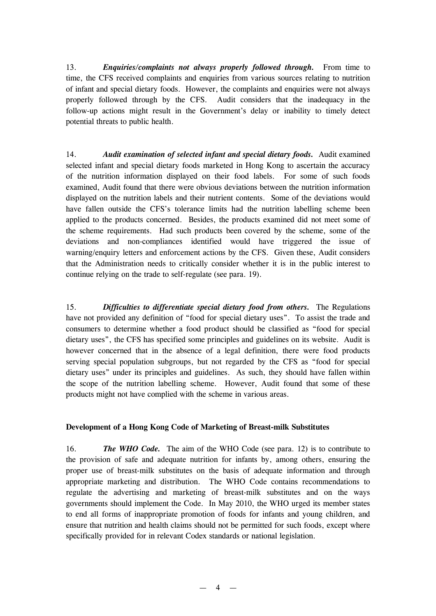13. *Enquiries/complaints not always properly followed through.* From time to time, the CFS received complaints and enquiries from various sources relating to nutrition of infant and special dietary foods. However, the complaints and enquiries were not always properly followed through by the CFS. Audit considers that the inadequacy in the follow-up actions might result in the Government's delay or inability to timely detect potential threats to public health.

14. *Audit examination of selected infant and special dietary foods.* Audit examined selected infant and special dietary foods marketed in Hong Kong to ascertain the accuracy of the nutrition information displayed on their food labels. For some of such foods examined, Audit found that there were obvious deviations between the nutrition information displayed on the nutrition labels and their nutrient contents. Some of the deviations would have fallen outside the CFS's tolerance limits had the nutrition labelling scheme been applied to the products concerned. Besides, the products examined did not meet some of the scheme requirements. Had such products been covered by the scheme, some of the deviations and non-compliances identified would have triggered the issue of warning/enquiry letters and enforcement actions by the CFS. Given these, Audit considers that the Administration needs to critically consider whether it is in the public interest to continue relying on the trade to self-regulate (see para. 19).

15. *Difficulties to differentiate special dietary food from others.* The Regulations have not provided any definition of "food for special dietary uses". To assist the trade and consumers to determine whether a food product should be classified as "food for special dietary uses", the CFS has specified some principles and guidelines on its website. Audit is however concerned that in the absence of a legal definition, there were food products serving special population subgroups, but not regarded by the CFS as "food for special dietary uses" under its principles and guidelines. As such, they should have fallen within the scope of the nutrition labelling scheme. However, Audit found that some of these products might not have complied with the scheme in various areas.

#### **Development of a Hong Kong Code of Marketing of Breast-milk Substitutes**

16. *The WHO Code.* The aim of the WHO Code (see para. 12) is to contribute to the provision of safe and adequate nutrition for infants by, among others, ensuring the proper use of breast-milk substitutes on the basis of adequate information and through appropriate marketing and distribution. The WHO Code contains recommendations to regulate the advertising and marketing of breast-milk substitutes and on the ways governments should implement the Code. In May 2010, the WHO urged its member states to end all forms of inappropriate promotion of foods for infants and young children, and ensure that nutrition and health claims should not be permitted for such foods, except where specifically provided for in relevant Codex standards or national legislation.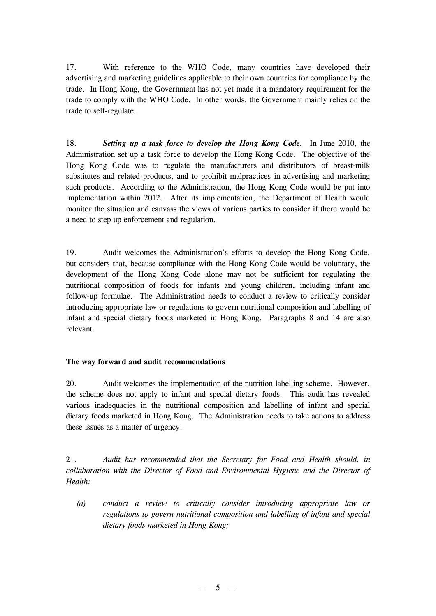17. With reference to the WHO Code, many countries have developed their advertising and marketing guidelines applicable to their own countries for compliance by the trade. In Hong Kong, the Government has not yet made it a mandatory requirement for the trade to comply with the WHO Code. In other words, the Government mainly relies on the trade to self-regulate.

18. *Setting up a task force to develop the Hong Kong Code.* In June 2010, the Administration set up a task force to develop the Hong Kong Code. The objective of the Hong Kong Code was to regulate the manufacturers and distributors of breast-milk substitutes and related products, and to prohibit malpractices in advertising and marketing such products. According to the Administration, the Hong Kong Code would be put into implementation within 2012. After its implementation, the Department of Health would monitor the situation and canvass the views of various parties to consider if there would be a need to step up enforcement and regulation.

19. Audit welcomes the Administration's efforts to develop the Hong Kong Code, but considers that, because compliance with the Hong Kong Code would be voluntary, the development of the Hong Kong Code alone may not be sufficient for regulating the nutritional composition of foods for infants and young children, including infant and follow-up formulae. The Administration needs to conduct a review to critically consider introducing appropriate law or regulations to govern nutritional composition and labelling of infant and special dietary foods marketed in Hong Kong. Paragraphs 8 and 14 are also relevant.

### **The way forward and audit recommendations**

20. Audit welcomes the implementation of the nutrition labelling scheme. However, the scheme does not apply to infant and special dietary foods. This audit has revealed various inadequacies in the nutritional composition and labelling of infant and special dietary foods marketed in Hong Kong. The Administration needs to take actions to address these issues as a matter of urgency.

21. *Audit has recommended that the Secretary for Food and Health should, in collaboration with the Director of Food and Environmental Hygiene and the Director of Health:*

*(a) conduct a review to critically consider introducing appropriate law or regulations to govern nutritional composition and labelling of infant and special dietary foods marketed in Hong Kong;*